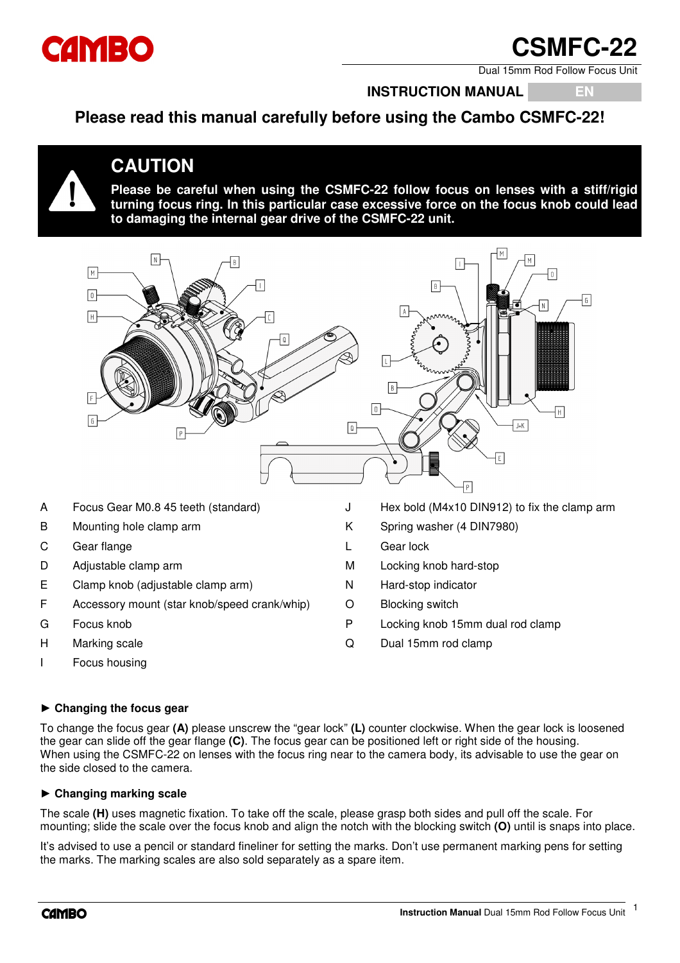

# SMFC-2

Dual 15mm Rod Follow Focus Unit

### **INSTRUCTION MANUAL EN**

**Please read this manual carefully before using the Cambo CSMFC-22!**



## **CAUTION**

**Please be careful when using the CSMFC-22 follow focus on lenses with a stiff/rigid turning focus ring. In this particular case excessive force on the focus knob could lead to damaging the internal gear drive of the CSMFC-22 unit.** 



- 
- C Gear flange L Gear lock
- 
- E Clamp knob (adjustable clamp arm) N Hard-stop indicator
- F Accessory mount (star knob/speed crank/whip) O Blocking switch
- 
- 
- I Focus housing
- 
- B Mounting hole clamp arm K Spring washer (4 DIN7980)
	-
- D Adjustable clamp arm M Locking knob hard-stop
	-
	-
- G Focus knob **P** Locking knob 15mm dual rod clamp
- H Marking scale **Contract Contract Contract Contract Contract Contract Contract Contract Contract Contract Contract Contract Contract Contract Contract Contract Contract Contract Contract Contract Contract Contract Contrac**

#### **► Changing the focus gear**

To change the focus gear **(A)** please unscrew the "gear lock" **(L)** counter clockwise. When the gear lock is loosened the gear can slide off the gear flange **(C)**. The focus gear can be positioned left or right side of the housing. When using the CSMFC-22 on lenses with the focus ring near to the camera body, its advisable to use the gear on the side closed to the camera.

#### **► Changing marking scale**

The scale **(H)** uses magnetic fixation. To take off the scale, please grasp both sides and pull off the scale. For mounting; slide the scale over the focus knob and align the notch with the blocking switch **(O)** until is snaps into place.

It's advised to use a pencil or standard fineliner for setting the marks. Don't use permanent marking pens for setting the marks. The marking scales are also sold separately as a spare item.